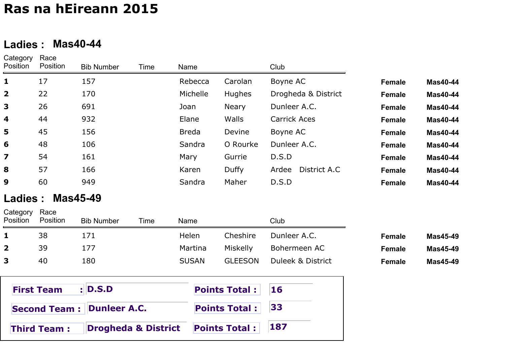#### **Ladies : Mas40-44**

| Category<br>Position    | Race<br>Position | <b>Bib Number</b> | Time | Name         |               | Club                  |               |                 |
|-------------------------|------------------|-------------------|------|--------------|---------------|-----------------------|---------------|-----------------|
| 1                       | 17               | 157               |      | Rebecca      | Carolan       | Boyne AC              | Female        | <b>Mas40-44</b> |
| $\overline{\mathbf{2}}$ | 22               | 170               |      | Michelle     | <b>Hughes</b> | Drogheda & District   | <b>Female</b> | <b>Mas40-44</b> |
| 3                       | 26               | 691               |      | Joan         | <b>Neary</b>  | Dunleer A.C.          | <b>Female</b> | <b>Mas40-44</b> |
| 4                       | 44               | 932               |      | Elane        | <b>Walls</b>  | <b>Carrick Aces</b>   | <b>Female</b> | <b>Mas40-44</b> |
| 5                       | 45               | 156               |      | <b>Breda</b> | Devine        | Boyne AC              | <b>Female</b> | <b>Mas40-44</b> |
| 6                       | 48               | 106               |      | Sandra       | O Rourke      | Dunleer A.C.          | <b>Female</b> | <b>Mas40-44</b> |
| $\overline{\mathbf{z}}$ | 54               | 161               |      | Mary         | Gurrie        | D.S.D                 | <b>Female</b> | <b>Mas40-44</b> |
| 8                       | 57               | 166               |      | Karen        | Duffy         | District A.C<br>Ardee | <b>Female</b> | <b>Mas40-44</b> |
| 9                       | 60               | 949               |      | Sandra       | Maher         | D.S.D                 | <b>Female</b> | <b>Mas40-44</b> |
|                         |                  |                   |      |              |               |                       |               |                 |

#### **Ladies : Mas45-49**

Category Race

| Position     | Position | <b>Bib Number</b> | Time | Name         |                | Club              |        |          |
|--------------|----------|-------------------|------|--------------|----------------|-------------------|--------|----------|
|              | 38       |                   |      | Helen        | Cheshire       | Dunleer A.C.      | Female | Mas45-49 |
| $\mathbf{2}$ | 39       |                   |      | Martina      | Miskelly       | Bohermeen AC      | Female | Mas45-49 |
| 3            | 40       | 180               |      | <b>SUSAN</b> | <b>GLEESON</b> | Duleek & District | Female | Mas45-49 |

| <b>First Team : D.S.D</b>                 | <b>Points Total: 16</b> |  |
|-------------------------------------------|-------------------------|--|
| Second Team : Dunleer A.C.                | <b>Points Total: 33</b> |  |
| Drogheda & District<br><b>Third Team:</b> | Points Total : 187      |  |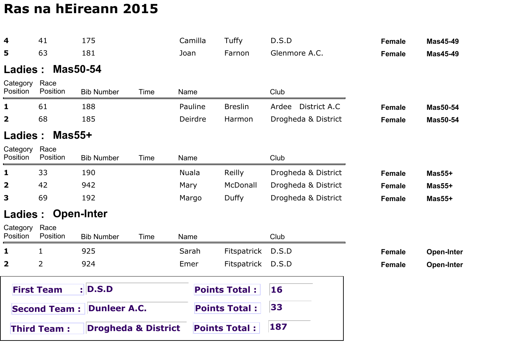| 4                       | 41                  | 175                            |      |              | Camilla | Tuffy                | D.S.D         |                     | <b>Female</b> | <b>Mas45-49</b>   |
|-------------------------|---------------------|--------------------------------|------|--------------|---------|----------------------|---------------|---------------------|---------------|-------------------|
| 5                       | 63                  | 181                            |      | Joan         |         | Farnon               | Glenmore A.C. |                     | <b>Female</b> | <b>Mas45-49</b>   |
| Ladies:                 |                     | <b>Mas50-54</b>                |      |              |         |                      |               |                     |               |                   |
| Category<br>Position    | Race<br>Position    | <b>Bib Number</b>              | Time | Name         |         |                      | Club          |                     |               |                   |
| 1                       | 61                  | 188                            |      |              | Pauline | <b>Breslin</b>       |               | Ardee District A.C  | <b>Female</b> | <b>Mas50-54</b>   |
| $\mathbf{2}$            | 68                  | 185                            |      |              | Deirdre | Harmon               |               | Drogheda & District | <b>Female</b> | <b>Mas50-54</b>   |
| Ladies :                | $Mas55+$            |                                |      |              |         |                      |               |                     |               |                   |
| Category<br>Position    | Race<br>Position    | <b>Bib Number</b>              | Time | Name         |         |                      | Club          |                     |               |                   |
| 1                       | 33                  | 190                            |      | <b>Nuala</b> |         | Reilly               |               | Drogheda & District | <b>Female</b> | $Mas55+$          |
| 2                       | 42                  | 942                            |      | Mary         |         | McDonall             |               | Drogheda & District | <b>Female</b> | $Mas55+$          |
| 3                       | 69                  | 192                            |      | Margo        |         | Duffy                |               | Drogheda & District | <b>Female</b> | $Mas55+$          |
| Ladies :                |                     | <b>Open-Inter</b>              |      |              |         |                      |               |                     |               |                   |
| Category<br>Position    | Race<br>Position    | <b>Bib Number</b>              | Time | Name         |         |                      | Club          |                     |               |                   |
| 1                       | 1                   | 925                            |      | Sarah        |         | Fitspatrick          | D.S.D         |                     | <b>Female</b> | <b>Open-Inter</b> |
| $\overline{\mathbf{2}}$ | $\overline{2}$      | 924                            |      | Emer         |         | Fitspatrick          | D.S.D         |                     | <b>Female</b> | <b>Open-Inter</b> |
|                         | <b>First Team</b>   | :  D.S.D                       |      |              |         | <b>Points Total:</b> | 16            |                     |               |                   |
|                         | <b>Second Team:</b> | <b>Dunleer A.C.</b>            |      |              |         | <b>Points Total:</b> | 33            |                     |               |                   |
|                         | <b>Third Team:</b>  | <b>Drogheda &amp; District</b> |      |              |         | <b>Points Total:</b> | 187           |                     |               |                   |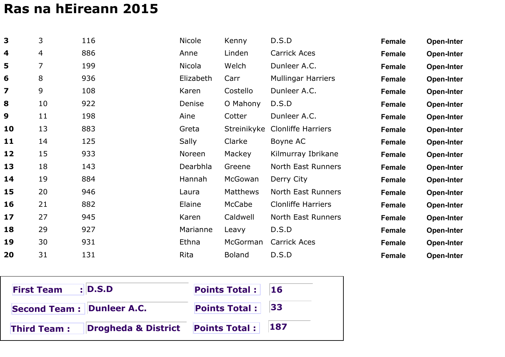| 3                       | 3  | 116 | Nicole    | Kenny         | D.S.D                     | <b>Female</b> | <b>Open-Inter</b> |
|-------------------------|----|-----|-----------|---------------|---------------------------|---------------|-------------------|
| 4                       | 4  | 886 | Anne      | Linden        | <b>Carrick Aces</b>       | Female        | <b>Open-Inter</b> |
| 5                       | 7  | 199 | Nicola    | Welch         | Dunleer A.C.              | <b>Female</b> | <b>Open-Inter</b> |
| 6                       | 8  | 936 | Elizabeth | Carr          | <b>Mullingar Harriers</b> | <b>Female</b> | <b>Open-Inter</b> |
| $\overline{\mathbf{z}}$ | 9  | 108 | Karen     | Costello      | Dunleer A.C.              | Female        | <b>Open-Inter</b> |
| 8                       | 10 | 922 | Denise    | O Mahony      | D.S.D                     | <b>Female</b> | <b>Open-Inter</b> |
| 9                       | 11 | 198 | Aine      | Cotter        | Dunleer A.C.              | <b>Female</b> | <b>Open-Inter</b> |
| 10                      | 13 | 883 | Greta     | Streinikyke   | <b>Clonliffe Harriers</b> | <b>Female</b> | <b>Open-Inter</b> |
| 11                      | 14 | 125 | Sally     | Clarke        | Boyne AC                  | <b>Female</b> | <b>Open-Inter</b> |
| 12                      | 15 | 933 | Noreen    | Mackey        | Kilmurray Ibrikane        | <b>Female</b> | <b>Open-Inter</b> |
| 13                      | 18 | 143 | Dearbhla  | Greene        | North East Runners        | <b>Female</b> | <b>Open-Inter</b> |
| 14                      | 19 | 884 | Hannah    | McGowan       | Derry City                | <b>Female</b> | <b>Open-Inter</b> |
| 15                      | 20 | 946 | Laura     | Matthews      | North East Runners        | <b>Female</b> | <b>Open-Inter</b> |
| 16                      | 21 | 882 | Elaine    | McCabe        | <b>Clonliffe Harriers</b> | <b>Female</b> | <b>Open-Inter</b> |
| 17                      | 27 | 945 | Karen     | Caldwell      | North East Runners        | <b>Female</b> | <b>Open-Inter</b> |
| 18                      | 29 | 927 | Marianne  | Leavy         | D.S.D                     | <b>Female</b> | <b>Open-Inter</b> |
| 19                      | 30 | 931 | Ethna     | McGorman      | Carrick Aces              | <b>Female</b> | <b>Open-Inter</b> |
| 20                      | 31 | 131 | Rita      | <b>Boland</b> | D.S.D                     | <b>Female</b> | <b>Open-Inter</b> |

| <b>First Team : D.S.D</b>        |                                     | <b>Points Total:</b> 16 |             |
|----------------------------------|-------------------------------------|-------------------------|-------------|
| <b>Second Team: Dunleer A.C.</b> |                                     | <b>Points Total:</b> 33 |             |
| <b>Third Team:</b>               | Drogheda & District  Points Total : |                         | $\vert$ 187 |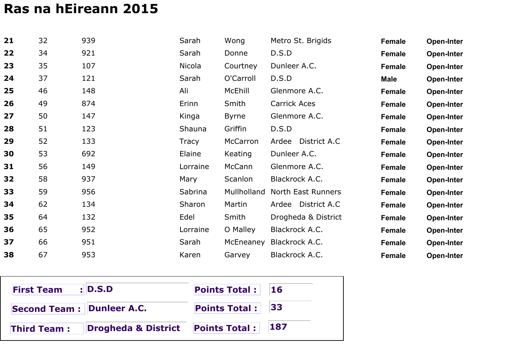| 21 | 32 | 939 | Sarah        | Wong         | Metro St. Brigids     | Female      | Open-Inter        |
|----|----|-----|--------------|--------------|-----------------------|-------------|-------------------|
| 22 | 34 | 921 | Sarah        | Donne        | D.S.D                 | Female      | Open-Inter        |
| 23 | 35 | 107 | Nicola       | Courtney     | Dunleer A.C.          | Female      | Open-Inter        |
| 24 | 37 | 121 | Sarah        | O'Carroll    | D.S.D                 | <b>Male</b> | <b>Open-Inter</b> |
| 25 | 46 | 148 | Ali          | McEhill      | Glenmore A.C.         | Female      | Open-Inter        |
| 26 | 49 | 874 | Erinn        | Smith        | Carrick Aces          | Female      | Open-Inter        |
| 27 | 50 | 147 | Kinga        | <b>Byrne</b> | Glenmore A.C.         | Female      | Open-Inter        |
| 28 | 51 | 123 | Shauna       | Griffin      | D.S.D                 | Female      | Open-Inter        |
| 29 | 52 | 133 | <b>Tracy</b> | McCarron     | District A.C<br>Ardee | Female      | Open-Inter        |
| 30 | 53 | 692 | Elaine       | Keating      | Dunleer A.C.          | Female      | Open-Inter        |
| 31 | 56 | 149 | Lorraine     | McCann       | Glenmore A.C.         | Female      | <b>Open-Inter</b> |
| 32 | 58 | 937 | Mary         | Scanlon      | Blackrock A.C.        | Female      | Open-Inter        |
| 33 | 59 | 956 | Sabrina      | Mullholland  | North East Runners    | Female      | Open-Inter        |
| 34 | 62 | 134 | Sharon       | Martin       | District A.C<br>Ardee | Female      | Open-Inter        |
| 35 | 64 | 132 | Edel         | Smith        | Drogheda & District   | Female      | Open-Inter        |
| 36 | 65 | 952 | Lorraine     | O Malley     | Blackrock A.C.        | Female      | Open-Inter        |
| 37 | 66 | 951 | Sarah        | McEneaney    | Blackrock A.C.        | Female      | <b>Open-Inter</b> |
| 38 | 67 | 953 | Karen        | Garvey       | Blackrock A.C.        | Female      | Open-Inter        |

| <b>First Team : D.S.D</b>        |                                     | <b>Points Total:</b> 16 |             |
|----------------------------------|-------------------------------------|-------------------------|-------------|
| <b>Second Team: Dunleer A.C.</b> |                                     | <b>Points Total:</b> 33 |             |
| <b>Third Team:</b>               | Drogheda & District  Points Total : |                         | $\vert$ 187 |